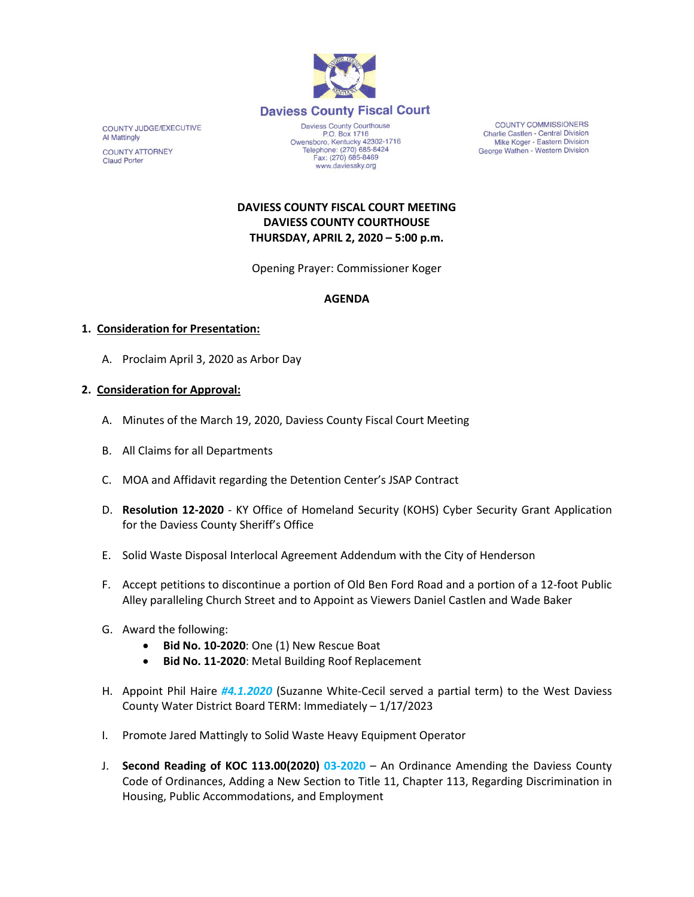

COUNTY JUDGE/EXECUTIVE **Al Mattingly COUNTY ATTORNEY Claud Porter** 

Daviess County Courthouse P.O. Box 1716 P.O. Box 1716<br>Owensboro, Kentucky 42302-1716<br>Telephone: (270) 685-8424 Fax: (270) 685-8469 www.daviessky.org

**COUNTY COMMISSIONERS** Charlie Castlen - Central Division Mike Koger - Eastern Division George Wathen - Western Division

**DAVIESS COUNTY FISCAL COURT MEETING DAVIESS COUNTY COURTHOUSE THURSDAY, APRIL 2, 2020 – 5:00 p.m.** 

Opening Prayer: Commissioner Koger

# **AGENDA**

#### **1. Consideration for Presentation:**

A. Proclaim April 3, 2020 as Arbor Day

#### **2. Consideration for Approval:**

- A. Minutes of the March 19, 2020, Daviess County Fiscal Court Meeting
- B. All Claims for all Departments
- C. MOA and Affidavit regarding the Detention Center's JSAP Contract
- D. **Resolution 12-2020** KY Office of Homeland Security (KOHS) Cyber Security Grant Application for the Daviess County Sheriff's Office
- E. Solid Waste Disposal Interlocal Agreement Addendum with the City of Henderson
- F. Accept petitions to discontinue a portion of Old Ben Ford Road and a portion of a 12-foot Public Alley paralleling Church Street and to Appoint as Viewers Daniel Castlen and Wade Baker
- G. Award the following:
	- **Bid No. 10-2020**: One (1) New Rescue Boat
	- **Bid No. 11-2020**: Metal Building Roof Replacement
- H. Appoint Phil Haire *#4.1.2020* (Suzanne White-Cecil served a partial term) to the West Daviess County Water District Board TERM: Immediately – 1/17/2023
- I. Promote Jared Mattingly to Solid Waste Heavy Equipment Operator
- J. **Second Reading of KOC 113.00(2020) 03-2020** An Ordinance Amending the Daviess County Code of Ordinances, Adding a New Section to Title 11, Chapter 113, Regarding Discrimination in Housing, Public Accommodations, and Employment